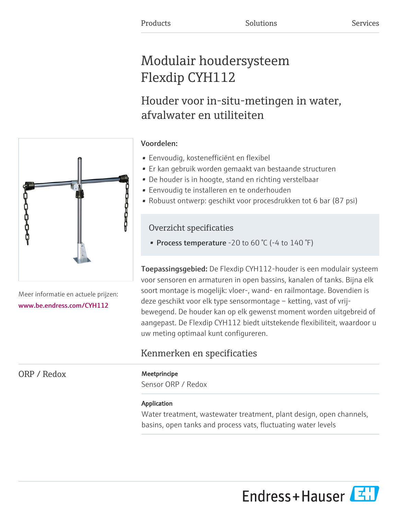# Modulair houdersysteem Flexdip CYH112

# Houder voor in-situ-metingen in water, afvalwater en utiliteiten

# Voordelen:

- Eenvoudig, kostenefficiënt en flexibel
- Er kan gebruik worden gemaakt van bestaande structuren
- De houder is in hoogte, stand en richting verstelbaar
- Eenvoudig te installeren en te onderhouden
- Robuust ontwerp: geschikt voor procesdrukken tot 6 bar (87 psi)

# Overzicht specificaties

• Process temperature -20 to 60  $\degree$ C (-4 to 140  $\degree$ F)

Toepassingsgebied: De Flexdip CYH112-houder is een modulair systeem voor sensoren en armaturen in open bassins, kanalen of tanks. Bijna elk soort montage is mogelijk: vloer-, wand- en railmontage. Bovendien is deze geschikt voor elk type sensormontage – ketting, vast of vrijbewegend. De houder kan op elk gewenst moment worden uitgebreid of aangepast. De Flexdip CYH112 biedt uitstekende flexibiliteit, waardoor u uw meting optimaal kunt configureren.

# Kenmerken en specificaties

Sensor ORP / Redox

# Application

Water treatment, wastewater treatment, plant design, open channels, basins, open tanks and process vats, fluctuating water levels



Meer informatie en actuele prijzen: [www.be.endress.com/CYH112](https://www.be.endress.com/CYH112)

ORP / Redox Meetprincipe

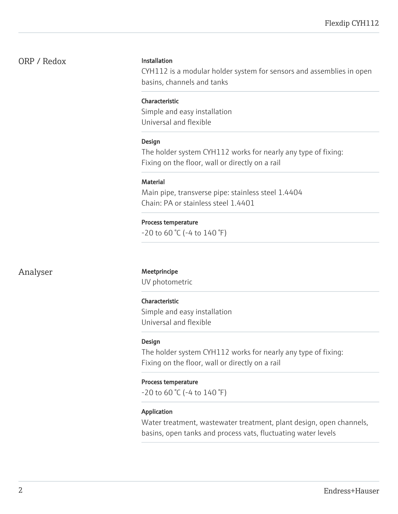## ORP / Redox Installation

CYH112 is a modular holder system for sensors and assemblies in open basins, channels and tanks

#### Characteristic

Simple and easy installation Universal and flexible

#### Design

The holder system CYH112 works for nearly any type of fixing: Fixing on the floor, wall or directly on a rail

#### **Material**

Main pipe, transverse pipe: stainless steel 1.4404 Chain: PA or stainless steel 1.4401

#### Process temperature

-20 to 60 °C (-4 to 140 °F)

Analyser Meetprincipe

UV photometric

#### Characteristic

Simple and easy installation Universal and flexible

#### Design

The holder system CYH112 works for nearly any type of fixing: Fixing on the floor, wall or directly on a rail

#### Process temperature

-20 to 60 °C (-4 to 140 °F)

#### Application

Water treatment, wastewater treatment, plant design, open channels, basins, open tanks and process vats, fluctuating water levels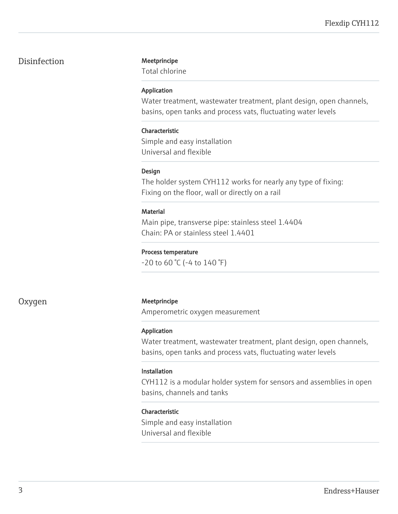# Disinfection Meetprincipe

Total chlorine

#### Application

Water treatment, wastewater treatment, plant design, open channels, basins, open tanks and process vats, fluctuating water levels

### Characteristic

Simple and easy installation Universal and flexible

#### Design

The holder system CYH112 works for nearly any type of fixing: Fixing on the floor, wall or directly on a rail

#### **Material**

Main pipe, transverse pipe: stainless steel 1.4404 Chain: PA or stainless steel 1.4401

#### Process temperature

 $-20$  to 60 °C ( $-4$  to 140 °F)

### Oxygen Meetprincipe

Amperometric oxygen measurement

### Application

Water treatment, wastewater treatment, plant design, open channels, basins, open tanks and process vats, fluctuating water levels

### Installation

CYH112 is a modular holder system for sensors and assemblies in open basins, channels and tanks

#### Characteristic

Simple and easy installation Universal and flexible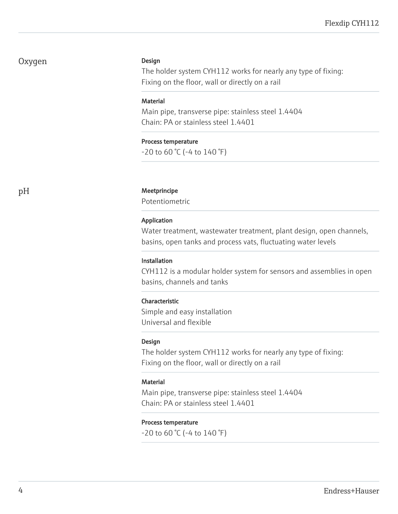# Oxygen

#### Design

The holder system CYH112 works for nearly any type of fixing: Fixing on the floor, wall or directly on a rail

#### **Material**

Main pipe, transverse pipe: stainless steel 1.4404 Chain: PA or stainless steel 1.4401

#### Process temperature

 $-20$  to 60 °C ( $-4$  to 140 °F)

#### pH Meetprincipe

Potentiometric

#### Application

Water treatment, wastewater treatment, plant design, open channels, basins, open tanks and process vats, fluctuating water levels

#### Installation

CYH112 is a modular holder system for sensors and assemblies in open basins, channels and tanks

#### Characteristic

Simple and easy installation Universal and flexible

#### Design

The holder system CYH112 works for nearly any type of fixing: Fixing on the floor, wall or directly on a rail

#### **Material**

Main pipe, transverse pipe: stainless steel 1.4404 Chain: PA or stainless steel 1.4401

#### Process temperature

 $-20$  to 60 °C ( $-4$  to 140 °F)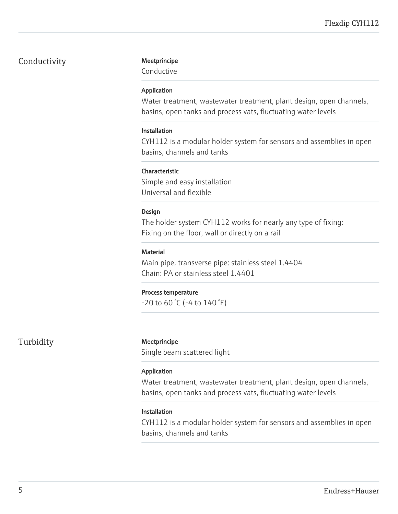# Conductivity Meetprincipe

Conductive

#### Application

Water treatment, wastewater treatment, plant design, open channels, basins, open tanks and process vats, fluctuating water levels

#### Installation

CYH112 is a modular holder system for sensors and assemblies in open basins, channels and tanks

### Characteristic

Simple and easy installation Universal and flexible

#### Design

The holder system CYH112 works for nearly any type of fixing: Fixing on the floor, wall or directly on a rail

### **Material**

Main pipe, transverse pipe: stainless steel 1.4404 Chain: PA or stainless steel 1.4401

#### Process temperature

 $-20$  to 60 °C ( $-4$  to 140 °F)

### Turbidity Meetprincipe

Single beam scattered light

#### Application

Water treatment, wastewater treatment, plant design, open channels, basins, open tanks and process vats, fluctuating water levels

#### Installation

CYH112 is a modular holder system for sensors and assemblies in open basins, channels and tanks